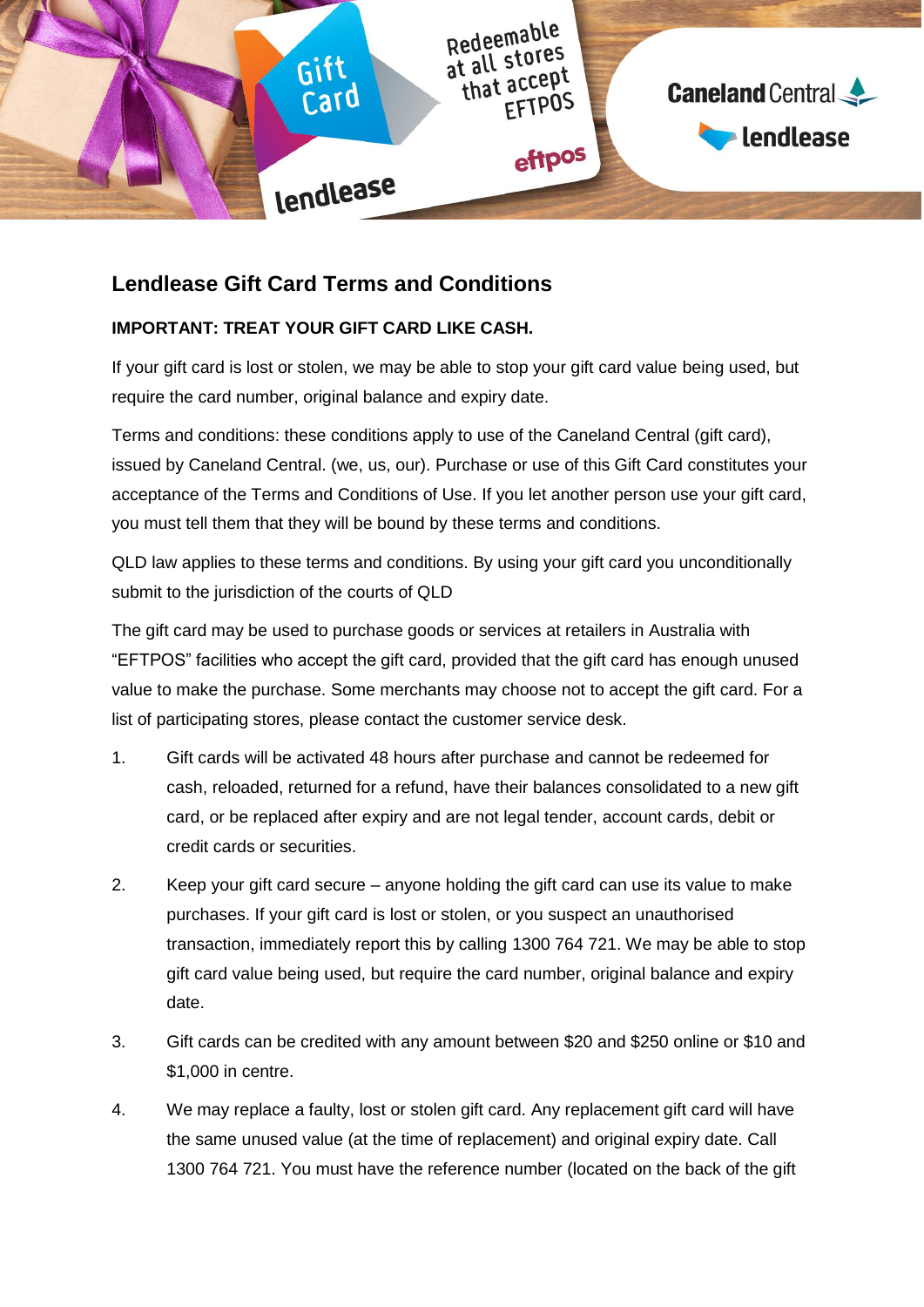

# **Lendlease Gift Card Terms and Conditions**

## **IMPORTANT: TREAT YOUR GIFT CARD LIKE CASH.**

If your gift card is lost or stolen, we may be able to stop your gift card value being used, but require the card number, original balance and expiry date.

Terms and conditions: these conditions apply to use of the Caneland Central (gift card), issued by Caneland Central. (we, us, our). Purchase or use of this Gift Card constitutes your acceptance of the Terms and Conditions of Use. If you let another person use your gift card, you must tell them that they will be bound by these terms and conditions.

QLD law applies to these terms and conditions. By using your gift card you unconditionally submit to the jurisdiction of the courts of QLD

The gift card may be used to purchase goods or services at retailers in Australia with "EFTPOS" facilities who accept the gift card, provided that the gift card has enough unused value to make the purchase. Some merchants may choose not to accept the gift card. For a list of participating stores, please contact the customer service desk.

- 1. Gift cards will be activated 48 hours after purchase and cannot be redeemed for cash, reloaded, returned for a refund, have their balances consolidated to a new gift card, or be replaced after expiry and are not legal tender, account cards, debit or credit cards or securities.
- 2. Keep your gift card secure anyone holding the gift card can use its value to make purchases. If your gift card is lost or stolen, or you suspect an unauthorised transaction, immediately report this by calling 1300 764 721. We may be able to stop gift card value being used, but require the card number, original balance and expiry date.
- 3. Gift cards can be credited with any amount between \$20 and \$250 online or \$10 and \$1,000 in centre.
- 4. We may replace a faulty, lost or stolen gift card. Any replacement gift card will have the same unused value (at the time of replacement) and original expiry date. Call 1300 764 721. You must have the reference number (located on the back of the gift